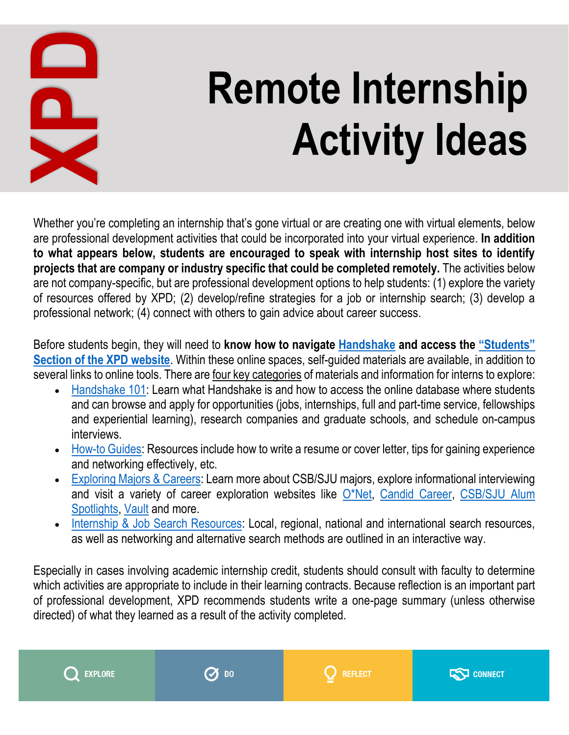

## **Remote Internship Activity Ideas**

Whether you're completing an internship that's gone virtual or are creating one with virtual elements, below are professional development activities that could be incorporated into your virtual experience. **In addition to what appears below, students are encouraged to speak with internship host sites to identify projects that are company or industry specific that could be completed remotely.** The activities below are not company-specific, but are professional development options to help students: (1) explore the variety of resources offered by XPD; (2) develop/refine strategies for a job or internship search; (3) develop a professional network; (4) connect with others to gain advice about career success. **Example 19 Act of the activity completing as international development activities that could be incorporated to what appears below, students are encouraged to speak projects that are company or internation and the activit** 

Before students begin, they will need to **know how to navigate [Handshake](https://csbsju.joinhandshake.com/login) and access the ["Students"](https://www.csbsju.edu/xpd/students-x6528)  [Section of the XPD website](https://www.csbsju.edu/xpd/students-x6528)**. Within these online spaces, self-guided materials are available, in addition to several links to online tools. There are four key categories of materials and information for interns to explore:

- [Handshake 101:](https://www.csbsju.edu/xpd/employers/community-partners/handshake-101) Learn what Handshake is and how to access the online database where students and can browse and apply for opportunities (jobs, internships, full and part-time service, fellowships and experiential learning), research companies and graduate schools, and schedule on-campus interviews.
- [How-to Guides:](https://www.csbsju.edu/xpd/students/how-to) Resources include how to write a resume or cover letter, tips for gaining experience and networking effectively, etc.
- [Exploring Majors & Careers:](https://www.csbsju.edu/xpd/students/exploring-majors-and-careers) Learn more about CSB/SJU majors, explore informational interviewing and visit a variety of career exploration websites like [O\\*Net,](https://www.onetonline.org/) [Candid Career,](https://www.candidcareer.com/) [CSB/SJU Alum](https://www.csbsju.edu/xpd/students/exploring-majors-and-careers/alum-spotlights)  [Spotlights,](https://www.csbsju.edu/xpd/students/exploring-majors-and-careers/alum-spotlights) [Vault](https://www.vault.com/) and more.
- [Internship & Job Search Resources:](https://www.csbsju.edu/xpd/students/internships-and-jobs) Local, regional, national and international search resources, as well as networking and alternative search methods are outlined in an interactive way.

Especially in cases involving academic internship credit, students should consult with faculty to determine which activities are appropriate to include in their learning contracts. Because reflection is an important part of professional development, XPD recommends students write a one-page summary (unless otherwise